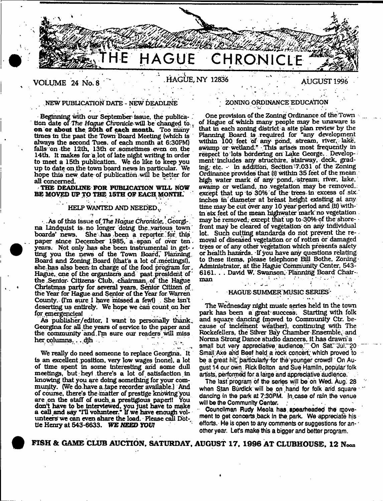

# **HAGUE, NY 12836 AUGUST 1996**

# . NEW PUBLICATION DATE - NEW DEADLINE

**VOLUME 24 No. 8**

Beginning with our September issue, the publication date of The *Hague* Chronicle will be changed to v on or about the 20th of each month. Too many times in the past the Town Board Meeting (which is always the second Tues. of each month at 6:30PM) falls on the 12th. 13th or .sometimes even on the 14th. It makes for a lot of late night writing in order to m eet a 15th publication. We do like to keep you up to date on the town board news in particular. We hope this new date of publication will be better for all concerned.

**THE DEADLINE FOR PUBLICATION WILL NOW** BE MOVED UP TO THE 15TH OF EACH MONTH.

# HELP WANTED AND NEEDED , ,

 $\cdot$  . As of this issue of The Hague Chronicle, Georgi-. na Lindquist is no longer doing the various town boards' news. She has been a reporter for this paper since December 1985, a span of over ten . years. Not only has she been instrumental in getting you the news of the Town Board, Planning, Board and Zoning Board (that's a lot of .meetings!), she has also been in charge of the food program for. Hague, one of the organizers and past president of the Senior-Citizens-Club, chairman, of the Hague Christmas party for several years. Senior Citizen of the Year for Hague and Senior of the Year for Warren County. (I'm sure I have m issed.a few!) . She isn't deserting us entirely. We hope we can count on her for emergencies!

As publisher/editor, I want to personally thank. Georgina for all the years of service to the paper and the community and I'm sure our readers will miss her columns. . . djh - .

i 1.0 - We really do need someone to replace Georgina. It is an excellent position, very low wages (none), a lot of time spent in some interesting and some dull meetings, but hey! there's a lot of satisfaction in knowing that you are doing something for your comm unity. (We do have a .tape recorder available.) And of course, there's the matter of prestige knowing you are on the staff of such a prestigious paperll You don't have to be interviewed, you just have to make a call and say \*T11 volunteer.' u we have enough volunteers we can even share the load. Please call Dottle Henry at 543-6633. WE NEED YOUT

# ; ZONING ORDINANCE EDUCATION

One provision of the Zoning Ordinance of the Town of Hague of which many people may be unaware is that In each zoning district a site plan review by the Planning Board is required for "any development within 100 feet of any pond, stream, river, lake, swamp or wetland." This arises most frequently in respect to lots bordering on Lake George. Development includes any structure, stairway, deck, grading, etc.  $-$  In addition, Section 7.031 of the Zoning Ordinance provides that (i) within 35 feet of the mean. high water mark of any pond, stream, river, lake, swamp or wetland, no vegetation may be removed, except that up to 30% of the trees-in excess of six inches in diameter at breast height existing at any time may be cut over any 10 year period and (11) within six feet of the mean highwater mark no vegetation. may be removed, except that up to 30% of the shorefront may be deared of vegetation on any individual lot. Such cutting standards do not prevent the removal of diseased vegetation or of rotten or damaged trees or of any other vegetation which presents safety or health hazards. -If you have any questions relating to these Items, please telephone Bill Bothe, Zoning Administrator, at the Hague Community Center, 543-6161. . . David W. Swanson, Planning Board Chair-- $\text{man}$  and  $\text{span}$  and  $\text{span}$   $\text{span}$   $\text{span}$   $\text{span}$   $\text{span}$   $\text{span}$   $\text{span}$   $\text{span}$ 

# \* HAGUE SUMMER MUSIC SERIES''

The Wednesday night music series held in the town park has been a great success. Starting with folk and square dancing (moved to Community Ctr. because of inclement weather), continuing with The Rockefellers, the Silver Bay Cham ber Ensemble, and Norma Strong Dance studio dancers. It has drawn a small but very appreciative audience.<sup>201</sup> On Sat. Jul. 20 Small Axe and Beef held a rock concert, which proved to be a great hit, particularly for the younger crowd! On August 14 our;own, Rick Bolton and Sue Hamlin, popular'folk artists, performed for a large and appreciative audience.

The last'program of the series will be oh Wed. Aug. 28 when Stan Burdick will be on hand for folk and square dancing in the park at 7:30PM. In case of rain the venue will be the Community Center.

Councilman Rudy Meola has spearheaded the movement to get concerts back in the park. We appreciate his efforts. He is open to any comments or suggestions for another year. Let's make this a bigger and better program.

£ FISH & GAME CLUB AUCTION. SATURDAY. AUGUST 1 7 . 1896 AT CLUBHOUSE. 12 Noon

\*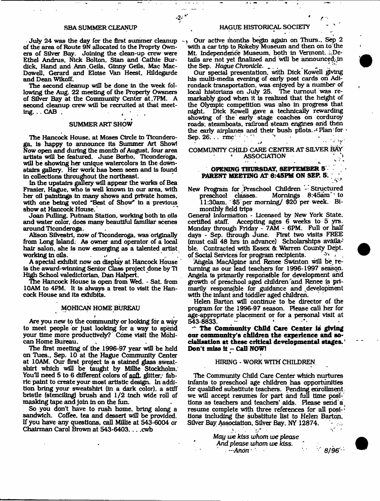-2-

July 24 was the day for the first summer cleanup  $-\mu$ of the area of Route 9N allocated to the Proprty Owners of Silver Bay. Joining the clean-up crew were Ethel Andrus, Nick Bolton, Stan and Cathie Burdick, Hand and Ann .Geils. Ginny Getls, Mac Mac-Dowell, Gerard and Eloise Van Heest, Hildegarde and Dean Wikoff.

The second cleanup will be done In the week following the Aug. 22 meeting of the Property Owsners of Silver Bay at the Community Center at ,7PM. A second cleanup crew will he recruited at that meeting.  $\ldots$  CAB  $\ldots$ 

# SUMMER ART SHOW

The Hancock House, at Moses Ctrole in Ticonderoga. is happy to announce its Summer Art Show! Now open and during the month of August, four area artists will be featured. June Borho, Ticonderoga, will be showing her unique watercolors in the downstairs gallery. Her work has been seen and Is found In collections throughout the northeast.

In the upstairs gallery will appear the works of Bea Frasier, Hague, who Is well known In our area, with her oil paintings in many shows and private homes, with one being voted "Best of Show" In a previous show at Hancock House.

Joan Pulling, Putnam Station, working both in oils and water color, does many beautiful familiar scenes around Ticonderoga.

Alison Sllvestri, now of Ticonderoga. was originally from Lang Island. As owner and operator of a local hair salon, she Is now emerging as a talented artist working in alls.

A special exhibit now on display at Hancock House Is the award-winning Senior Class project done by Ti High School valedictorian. Dan Halpert.

The Hancock House is open from Wed. - Sat. from 10AM to 4PM. It Is always a treat to visit the Hancock House and Its exhibits.

# MOHICAN HOME BUREAU

Are you new to the community or looking for a way to meet people or just looking for a way to spend your time more productively? Come visit the Mohican Home Bureau.

The first meeting of the 1996-97 year will be held on Tues., Sep. 10 at the Hague Community Center at 10AM. Our first project Is a stained glass sweatshirt which will be taught by Millie Stockholm. You'll need 5 to 6 different colors of soft, glitter, fabric paint to create your m ost artistic design. In addition bring your sw eatshirt (In a dark color), a stiff bristle (stenciling) brush and 1/2 Inch wide roll of masking tape and join in on the fun.

So you don't have to rush home, bring along a sandwich. Coffee, tea and dessert will be provided. If you have any questions, call Millie at 543-6004 or Chairman Carol Brown at 543-6403. . . . cwb

#### SBA SUMMER CLEANUP HAGUE HISTORICAL SOCIETY

Our active months begin again on Thurs., Sep 2 with a car trip to Rokeby Museum and then on to the Mt. Independence Museum, both in Vermont. ..Details are not yet finalized and will be announced, in the Sep. Haque Chronicle. the Sep. Hague Chronicle.  $\frac{1}{2}$  .  $\frac{1}{2}$  .  $\frac{1}{2}$  .  $\frac{1}{2}$  .  $\frac{1}{2}$ 

Our special presentation, with Dick Kowell giving his multi-media evening of early post cards on Adirondack transportation, was enjoyed by a number of local historians on July 25. The turnout was remarkably good when it is realized that the height of the Olympic competition was also in progress that night. Dick Kowell gave a technically rewarding showing of the early stage coaches on corduroy roads, steamboats, railroad steam engines and then the early airplanes and their bush pilots.  $\cdot$  Plan for  $\cdot$ Sep.  $26: . . . \text{rm}$ .j . - - \*v"

COMMUNITY CHILD CARE CENTER AT SILVER BAY ASSOCIATION

I *\* m*

*S ' \**

# **OPENING THURSDAY, SEPTEMBER 5- PARENT MEETING AT 6:45PM ON SEP. 5.**

New Program for Preschool Children - Structured<br>preschool classes. Mornings 8:45am to Mornings  $8:45$ am" to 11:30am. \$5 per m orning/ \$20 per week. Bimonthly field trips

General Information - Licensed by New York State, certified staff. Accepting ages 6 weeks to 5 yrs. Accepting ages  $6$  weeks to  $5$  yrs. Monday through Friday - 7AM - 6PM. Full or half days - Sep. through June. First two visits FREE (must call 48 hrs In advance) Scholarships available. Contracted with Essex & Warren County Dept.<br>of Social Services for program recipients. of Social Services for program recipients.

Angela MacAlpine and Renee Swinton will be returning as our lead teachers for 1996-1997 season. Angela is primarily responsible for development arid growth of preschool aged children'and Renee Is primarily responsible for guidance and ^development with the Infant and toddler aged children.

Helen Barton will continue to be director of the program for the 1996-97 season. Please call her for age-appropriate placement or for a personal visit at 543-8833.

**'•\*' The Community Child Care C enter is giving** our community's children the experience and socialisation at these critical developmental stages.<sup>1</sup> **Don't m iss it -C a ll NOW!**

#### HIRING - WORK WITH CHILDREN.

The Community Child Care Center which nurtures Infants to preschool age children has opportunities for qualified substitute teachers. Pending enrollment. we will accept resumes for part and full time positions as teachers and teachers' aids. Please serid'a, resume complete with three references for all posi- $\cdot$ tions Including the substitute list to Helen Barton. Silver Bay Association, Silver Bay, NY 12874.

*I \* '

*May we kiss whom we please And* please *whom we* kiss. \* •' *—Anon '* \* ' *8/96* •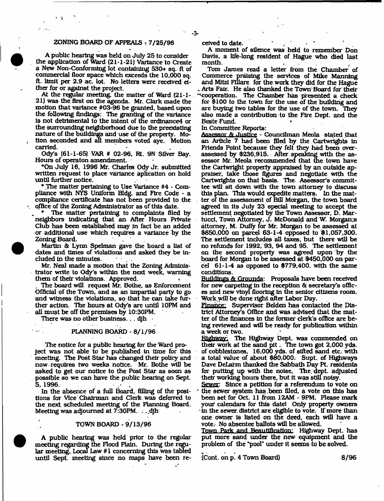# ZONING BOARD OF APPEALS - 7/25/96

 $\mathcal{M} \rightarrow \mathcal{N}$ 

A public hearing was held on July 25 to consider the application of Ward (21-1-21) Variance to Create a New Non-Conforming lot containing 530+ sq. ft of commercial floor space which exceeds the 10,000 sq. ft. limit per 2.9 ac. lot. No letters were received either for or against the project.

At the regular meeting, the matter of Ward  $(21-1-)$ . 21) was the first on the agenda. Mr. Clark made the motion that variance #03-96 be granted, based upon the following findings: The granting of the variance Is not detrim ental to the intent of the ordtnance4 or the surrounding neighborhood due to the preexisting nature of the buildings and use of the property. Motion seconded and all members voted aye. Motion carried. ' - ,

Ody's (61-1-65) VAR # 02-96, Rt. 9N Silver Bay. Hours of operaton amendment.

\*On July 16, 1996 Mr. Charles Ody Jr. submitted written request to place variance aplication on hold until further notice.

\* The m atter pertaining to Use Variance #4 - Compliance with NYS Uniform Bldg. and Fire Code - a compliance certificate has not been provided to the office of the Zoning Administrator as of this date.

The matter pertaining to complaints filed by neighbors indicating that an After Hours Private Club has been established may in fact be an added or additional use which requires a variance by the Zoning Board.

M artin & Lynn Spelman gave the board a list of dates and times of violations and asked they be included in the minutes.

Mr. Neal made a motion that the Zoning Administrator write to Ody's within the next week, warning them of their violations. Approved. \*

The board will request Mr. Bothe, as Enforcement Official of the Town, and as an im partial party to go and witness the violations, so that he can take further action. The hours at Ody's are until 10PM and all must be off the premises by 10:30PM.

There was no other business...  $d$ jh  $\blacksquare$ 

# PLANNING BOARD - 8/1/96

The notice for a public hearing for the Ward proje ct was not able to be published in time for this meeting. The Post Star has changed their policy and now requires two weeks notice. Mr. Bothe will be asked to get our notice to the Post Star as soon as possible so we can have the public hearing on Sept. 5, 1996.

In the absence of a full Board, filling of the positions for Vice Chairman and Clerk was deferred to the next scheduled meeting of the Planning Board. Meeting was adjourned at  $7:30PM$ . ...djh

### TOWN BOARD - 9/13/96

A public hearing was held prior to the regular m eeting regarding the Flood Plain. During the regular meeting. Local Law #1 concerning this was tabled until Sept. meeting since no maps have been received to date.

A moment of silence was held to remember Don Davis, a life-long resident of Hague who died last month. .

Tom James read a letter from the Chamber of Commerce praising the services of Mike Manning and Mitzi Flilare for the work they did for the Hague . Arts Fair. He also thanked the Town Board for their ^•cooperation. The Chamber has presented a check for \$100 to the town for the use of the building and are buying two tables for the use of the town. They also made a contribution to the Fire Dept, and the Beste Fund. *\**

In Committee Reports:

Assessor & Justice - Councilman Meola stated that an Article 7 had been filed by the Cartwrights In Friends Point because they felt they had been overassessed by \$236,915. After speaking with the assessor Mr. Meola recommended that the town have the Cartwright property appraised by an outside appraiser, take those figures and negotiate with the Cartwrights on that basis. The Assessor's committee will sit down with the town attorney to discuss this plan. This would expedite matters. In the matter of the assessment of Bill Morgan, the town board agreed in Its July 23 special meeting to accept the settlement negotiated by the Town Assessor, D. Martucci, Town Attorney, J. McDonald and W. Morgan;s attorney, M. Duffy far Mr. Morgan to be assessed at \$850,000 on parcel 63-1-4 opposed to \$1,057,300. The settlement includes all taxes, but there will be no refunds for 1992, 93, 94 and 95. The settlement on the second property was agreed upon by the board for Morgan to be assessed at \$450,000 on parcel  $61-1-4$  as opposed to \$779,400. with the same conditions.

Buildings & Grounds: Proposals have been received for new carpeting in the reception & secretary's offices and new vinyl flooring In the senior citizens room. Work.will be done right after Labor Day.

Finance: Supervisor Belden has contacted the District Attorney's Office and was advised that the matter of the finances in the former clerk's office are being reviewed and will be ready for publication within a week or two.

Highway. The Highway Dept. was commended on their work at the sand pit. The town got  $2,000$  yds. of cobblestones, 16,000 yds. of sifted sand etc. with a total value of about \$80,000. Supt. of Highways Dave DeLarm thanked the Sabbath Day Pt. residents for putting up with the noise, The. dept, adjusted their working hours there, but It was still noisy.

Sewer: Since a petition for a referendum to vote on • the sewer system has .been filed, a vote on this has been set for Oct. 11 from 12AM - 9PM. Please mark your calendars for this date! Only property owners - in the sewer, district are eligible to vote. If more than one owner Is listed on the deed, each will have a vote.- No absentee ballots will be allowed.

Town Park and Beautification: Highway Dept, has put more sand under the new equipment and the problem of the "pool" under it seems to be solved.

(Cont. on  $p. 4$  Town Board)  $8/96$ 

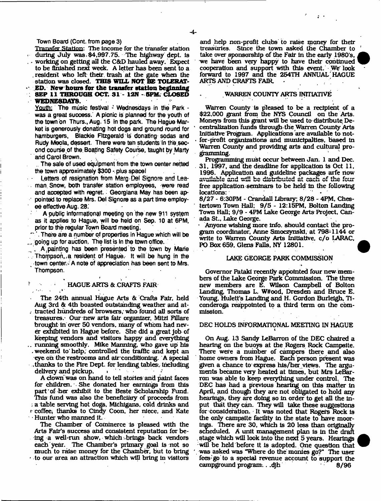#### Town Board (Cont. from page 3)

Transfer Station: The income for the transfer station during July was  $$4,997.75$ . The highway dept. is working on getting all the C&D hauled away. Expect to be finished next week. A letter has been sent to a . resident who left their, trash at the gate when the station was closed. **THIS WILL NOT BE TOLERAT- ED.** New hours for the transfer station beginning **; SEP 11 THROUGH OCT. 31 - 12N - 5PM. CLOSED WEDNESDAYS.**

Youth: The music festival ' Wednesdays in the Park was a great success. A picnic is planned for the youth of the town on Thurs.,Aug. 15 in the park. The Hague Market is generously donating hot dogs and ground round for hamburgers, Blackie Fitzgerald is donating sodas and Rudy Meola, dessert. There were ten students in the second course of the. Boating Safety Course, taught by Marty and Carol Brown.

. The sale of used equipment from the town center netted the town approximately \$300 - plus space!

Letters of resignation from Marg Del Signore and Leaman. Snow, both transfer station employees, were read and accepted with regret. Georgiana May has been appointed to replace Mrs. Del Signore as a part time employee effective Aug. 28.

A public informational meeting on the new 911 system as it applies to Hague, wilt be held on Sep. 10 at 6PM, prior to the regular Town Board meeting.

" '. There are a number of properties in Hague which will be ... going up for auction. The list is in the town office.

A , painting has been presented to the town by Marie , Thorppson,,a resident of Hague. It will be hung in the ^ town center./A note of appreciation has been sent to Mrs. Thompson.

*\**

# *HAGUE ARTS & CRAFTS FAIR*

The 24th annual Hague Arts & Crafts Fair, held Aug 3rd & 4th boasted outstanding weather and at- . tracted hundreds of browsers, who found all sorts of treasures.\* Our new arts fair organizer, Mitzi Flllare brought in over 50 vendors, many of whom had never exhibited in Hague before. She did a great Job of keeping vendors and visitors happy and everything .. running smoothly. Mike Manning, who gave up his .weekend to'help, controlled tbe traffic and kept an eye on the restrooms and air conditioning. A special , thanks to the Fire Dept, for lending tables; including delivery and pickup. . • ;

A dow n'was on hand to tell stories and paint faces for children. She donated her earnings from this part of her exhibit to the Beste Scholarship Fund. This fund was also the beneficiary of proceeds from ; a table serving hot dogs. Mlchlgans, cold drinks and *<* coffee, thanks to Cindy Coon, her niece, and Kate  $\oplus$  Hunter who manned it.

The Chamber of Commerce Is pleased with the Arts Fair's success and consistent reputation for being a well-run show, w hich-brings back vendors each year. The Chamber's primary goal is not so m uch to raise money for the Chamber, but to bring  $\cdot$  to our area an attraction which will bring in visitors and help non-profit clubs to raise money for thefr treasuries. Since the town asked the Cham ber to take over sponsorship of the Fair in the early 1980's, we have been very happy to have their continued cooperation and support with this event. We' look forward to 1997 and the 254TH ANNUAL'HAGUE ARTS AND CRAFTS FAIR.

#### WARREN COUNTY ARTS INITIATIVE

Warren County Is pleased to be a recipient of a \$22,000 grant from the NY5 Council on the Arts. Moneys from this grant will be used to distribute Decentralization funds through the Warren County Arts Initiative Program. Applications are available to notfor-profit organizations and municipalities, based in Warren County and providing arts and cultural programming.

Programming must occur between Jan. 1 and Dec. 31, 1997, and tbe deadline for application Is Oct 11, 1996. Application and guideline packages arfe norw available and will be distributed at each of the four free application seminars to be held in the following locations:

8/27 - 6:30PM - Crandall Library; 8/28 - 4PM, Chestertown Town Hall; 9/5 - 12:15PM, Bolton Landing Town Hall; 9/9 - 4PM Lake George Arts Project, Canada St., Lake George.

- Anyone wishing more Info, should contact the program coordinator, Anne Smoczynski, at 798-1144 or write to Warren County Arts Initiative, c/o LARAC, PO Box 659, Glens Falls, NY 12801.

# LAKE GEORGE PARK COMMISSION

Governor Patakl recently appointed four new members of the Lake George Park Commission. The three new members are E. Wilson Campbell of Bolton Landing, Thomas L. W#ood, Dresden and Bruce E. Young, Hulett's Landing and H. Gordon Burleigh, Tlconderoga reappointed to a third term on the commission.

### DEC HOLDS INFORMATIONAL MEETING IN HAGUE

On Aug. 13 Sandy LeBarron of the DEC chaired a hearing on the buoys at the Rogers Rock Campsite. There were a number of campers there and also home owners from Hague. Each person present was given a chance to express his/her views. The arguments became very heated at times, but Mrs LeBarron was able to keep everything under control. The DEC has had a previous hearing on this matter in April, and though they are not obligated to hold any hearings, they are doing so in order to get all the input that they can. They wifi take these suggestions for consideration. It was noted that Rogers Rock Is the only campsite facility in the state to have moorings. There are 30, which Is 20 less than originally scheduled. A unit management plan Is In the draft stage which will look into the next 5 years. Hearings will be held before it is adopted. One question that was asked was "Where do the monies go?" The user fees: go to a special revenue account to support the campground program ...  $d$ <sub>i</sub>h  $\qquad \qquad 8/96$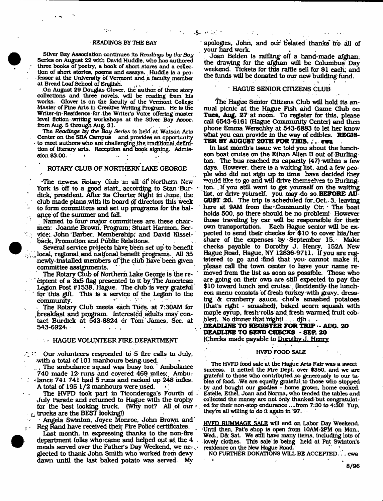#### READINGS BY THE BAY

Silver Bay Association continues Its Readings *by the Bay* Series on August 22 with David Huddle, who has authored three books of poetry, a book of short stores and a collection of short stories, poems and essays. Huddle *is* a professor at the University of Vermont and a faculty member at Bread Loaf School of English.

 $1 - 84$ 

On August 29 Douglas Glover, the author of three story collections and three novels, will be reading from' his works. Glover is on the faculty of the Vermont College Master of Fine Arts In Creative Writing Program. He is the Wrfter-ln-Realdence -for the Writer's Voice offering master level fiction writing workshops at the Silver Bay Assoc, from Aug. 5 through Aug. 31.

The *Readings by* the *Bay Series* is held at Watson Arts Center on the SBA Campus and provides an opportunity to meet authors who are challenging the traditional definition of literary arts. Reception and book signing. Admission \$3.00. 1 *\**

### ROTARY CLUB OF NORTHERN LAKE GEORGE

The newest Rotary Club in all of Northern New York is off to a good start, according to Stan Burdick, president. After its Charter Night in June, the club made plans with its board of directors this week to form committees and set up programs for the balance of the summer and fall.

 $\ddot{\phantom{a}}$ 

Named to four major committees are. these chairmen: Joanne Brown, Program; Stuart Harmon, Ser- $\mathcal{L}_{\mathcal{A}}$ vice;. John Barber, Membership; and David Klsselback. Promotion and Public Relations.

Several service projects have been set up to benefit  $_{\odot}$ , local, regional and national benefit programs. All 35 •newly-installed m embers of the club have been given committee assignments.

The Rotary Club of Northern Lake George is the re-, cipient of a 3x5 flag presented to it by The American Legion Post #1538, Hague. The club is very grateful for this gift. This Is a service of the Legion to the community.

The Rotary Club meets each Tues. at 7:30AM for , breakfast and program. Interested adults may contact Burdick at 543-8824 or Tom James, Sec. at  $543-6924.$ 

#### - HAGUE VOLUNTEER FIRE DEPARTMENT

 $\mathbb{Z} \times$  Our volunteers responded to 5 fire calls in July, with a total of 101 manhours being used.

The ambulance squad was busy too. Ambulance 740 made 12 runs and covered 469 miles; Ambu-- lance 741 741 had 5 runs and racked up 248 miles.

A total of  $195$   $1/2$  manhours were used. The HVFD took part in Ticonderoga's Fourth of , July Parade and returned to Hague with the trophy for the best looking truck. (Why not? All of our  $t_1$  trucks are the BEST looking!)

Angela Swinton. Joyce Monroe, John Brown and Reg Rand have received their Fire Police certificates.

Last month, in expressing thanks to the non-fire department folks who came and helped out at the 4 meals served over the Father's Day Weekend, we ne-... glected to thank John Smith who worked from dewy dawn until the last baked potato was served. My

apologies, John, and our belated thanks' fro all of your hard work.

Joan Belden is raffling off a hand-made afghan; the drawing for the afghan will be Columbus Day weekend. Tickets for this raffle sell for \$1 each, and the funds will be donated to our new building hind.

# **HAGUE SENIOR CITIZENS CLUB**

The Hague Senior Citizens Club will hold its an nual picnic at the Hague Fish and Game Club on Tues, Aug. 27 at noon. To register for this, please call 6543-6161 (Hague Community Center) and then phone Emma Werschky at 543-6883 to let her know what you can provide in the way of edibles. **REGIS-TER BY AUGUST 20TH FOR THIS. ; . ewa**

In last month's Issue we told you about the luncheon boat cruise on the Ethan AUen II out of Burlington. The bus reached its capacity  $(47)$  within a few days. However, there is a waiting list, and a few people who did not sign up in time have decided they would like to go and will drive themselves to Burlington. If you still want to get yourself on the waiting list, or drive yourself, you may do so **BEFORE AU-GUST 20.** The trip Is scheduled for Oct.. 3, leaving here at 9AM from the Community Ctr. The boat holds 500, so there should be no problem! However those traveling by car will be responsible for their<br>own transportation. Each Hague senior will be ex-Each Hague senior will be expected to send their checks for \$10 to cover his/her share of the expenses by September 15. Make checks payable to Dorothy J. Henry, 152A New Hague Road, Hague, NY 12836-9711. If you are registered to go and find that you cannot make it, please call the town center to have your name removed from the list as soon as possible. Those who are going on their own are still expected to pay the \$10 toward lunch and cruise. (Incidently the luncheon menu consists of fresh turkey with gravy, dressing & cranberry sauce, chefs sm ashed potatoes {that's right - smashed), baked acorn squash w ith maple synip, fresh rolls and fresh warmed fruit cobbler). No dinner that  $\mathrm{right}$  ... djh t

**DEADLINE TO REGISTER FOR TRIP -- AUG. 20 DEADLINE TO SEND CHECKS - SEP. 20** (Checks made payable to Dorothy J. Henry

#### HVFD FOOD SALE

The HVFD food sale at the Hague Arts Fair was a sweet success. It netted the Fire Dept over \$350, and we are grateful to those who contributed so generously to our tables of food. We are equally grateful to those who stopped • by and bought our goodies - home grown, home cooked. Estelle, Ethel, Joan and Norma,, who tended the tables and collected the money arc not only thanked but congratulated for their non-stop endurance ....from 7:30 to 4:30! Yup, they're all willing to do it again in '97. ...

HVFD RUMMAGE SALE will end on Labor Day Weekend. Until then, Pat's shop Is open from 10AM-2PM on Mon., Wed., D& Sat. We still have many items, including lots of lovely clothes. This sale Is being held at Pat Swlnton's residence on the New Hague Road.

NO FURTHER DONATIONS WILL BE ACCEPTED.. . ewa  $\mathbf{t} = \mathbf{t} \times \mathbf{t}$  . The set of  $\mathbf{t}$ 

8/96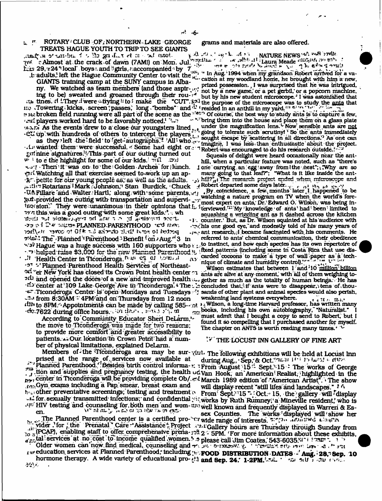# ROTARY<sup>*1*</sup> CLUB OF; NORTHERN LAKE GEORGE grams and materials are also offered. TREATS HAGUE YOUTH TO TRIP TO SEE GIANTS

*anadr*-th o'ruu-bu. *i w* Mo gn Lix el : w unoi- i & B -V -d \* . A . . NATURE NEWS \* 0. 38 avvut  $r$ <sup>t.</sup> r Almost at the crack of dawn (7AMI) on Mon. Jul.<sup>2</sup>  $r$  in  $r$  find it laura Meade  $r$  and  $r$  and  $r$  $f_{\text{max}}$  29,  $\frac{1}{24}$ <sup>\*</sup> local' boys .. and <sup>i</sup>i girls, *i*.accompanied by  $7 \frac{1}{100}$  is the second inter-

ith tines, it i. They d were a trying  $\iota_i$  to ' make the "CUT".  $S^{2i}$  the purpose of the microscope was to study the anis that no **Towering i kicks, screen {passes,'long "bombs" and \*** *\* resided in an anthill in my yard."1 'V 1"* in the w its broken field running were all part of the scene as the <sup>atent</sup> Of course, the best way to study ants is to capture a few, r players worked hard to be.favorably noticed.1 ^ TJ "\* \*■'bring them into the house and place them oh a glass, plate As the events drew to a close our youngsters lined, . under the magnification lens. ^ Nowsenslble ants are

as they left the field to get autographs.<sup>7</sup> All who in sought exape by scattering in an directions. As one can<br>Ly wanted them were successful, Some had eight or  $\pi$  Robert was encouraged to do his research outside. gni nine signatures.'<sup>1</sup>This part of our outing turned out Squeals of delight were heard occasionally near the ant-<br>Figures .<sup>1</sup> to e the highlight for some of our kids. "I soll and the ant--------------------------------w 1 to e the highlight for some of our kids.  $3117 - 207$  hill, when a particular feature was noted, such as "there's  $\sim 37$ . Then it was on to the Golden Arches for linch. I one carrying an egg away from the nest"; Why a 'CJ'j - T hen1 lt was on to 1 the i Golden - Arches for! lunch, i one' carrying, an;egg! away from 1 the nest"; i !Why are so Watching all that exercise seemed to work up an ap- many going to that leaf?"; "What is it like inside the ant  $R$ <sup>r</sup> petite for our young people as vell as the adults.  $\frac{1}{2}$ , hill?', The research project ended when microscope and  $\frac{1}{2}$ ,  $\frac{1}{2}$ ,  $\frac{1}{2}$ ,  $\frac{1}{2}$ ,  $\frac{1}{2}$ ,  $\frac{1}{2}$ ,  $\frac{1}{2}$ ,  $\frac{1}{2}$ ,  $\frac{1}{2}$  $x$ .  $x$ . Rotarians 1 Mark Johnson; 1 Stan Burdick, 1 Chuck  $x$  Robert departed some days later.  $y_1, y_2, y_3, y_4, y_5, y_6$ -UA Fillare and Walter Hartl; along with some parents, i.e., By coincidence, a few months later I happened to be  $\mathbb{R}^n$  provided the outing with transportation and supervired in the expert on ants. Dr. Edward O. Wilson, was being in to the visit of views were used to use the same well and supervisitive to the expert on ants, Dr. Edward O. Wilson, was being in-<br>Isosion. They were unanimous in their opinions that L iterviewed  $\frac{m}{M}$  i My knowledge of which this was a good outing with some great kids.<sup>1</sup>. when squashing a wriggling ant as it dashed across the kitchen **Butlet The sinter J42.7 on** *htw*  $\infty$  on definitions of social exponents. But, as Dr. Wilson squinted at his audience with 0\*3 ;> f ioU w PLANNEDRARENTHOOD 'CJ riv.v, .-^r-'hls one good eye," and modestly told of his many years of plant The Planned <sup>'</sup> Parenthood - Benefit (on *)* Aug.<sup>14</sup> 3 in referred to ants' chemical communication, their obedience<br>N.3 Hague was a huge success with 160 supporters who y to instinct, and how each species has its ow  $\cdot$ '3<sup>1</sup> Hague was a huge success with 160 supporters who  $\times$  c The ped raise \$3,000 for the new Planned Parenthood is inked patterns (including some in Costa Rica that use dis-<br>- **\*\*** helped raise \$3,000 for the new Planned Parenthood is inked patterns (including some in Costa Rica th  $\frac{1}{100}$  Health Center in Ticonderoga.  $\frac{1}{100}$  or  $\frac{1}{100}$  of  $\frac{1}{100}$  and  $\frac{1}{100}$  carded cocoons to make a type of wall paper as a tech-<br> $\frac{1}{100}$  Health Center in Ticonderoga.  $\frac{1}{100}$  or  $\frac{1}{100$  $\sim$  S<sup>-1</sup>  $\sim$  Planned Parenthood Health Services of Northeast-<br>Wilson estimates that between  $1$  and  $10$  million billion er New York has closed its Crown Point health center  $\gamma$  ants are alive at any moment, with all of them weighing toand opened the doors of a new and improved health as gether as much as the totality of human beings. He has rfo center at 109 Lake George Ave in Ticonderoga. \* The concluded that; if ants were to disappear, tens of thou-• $t$ . Ticonderoga Center is 'open Mondays and Tuesdays **of sands of other plant and animal species would also perish**,  $t$ .  $m_{11}$ ,  $m_{22}$  $\sim$  from 8:30AM - 4PM and on Thursdays from 12 noon weakening land systems everywhere.

the move to Ticonderoga was made for two reasons:<br>to provide more comfort and greater accessibility to patients. xi Our location in Crown Point' had a num-  $V'$  THE LOCUST INN GALLERY OF FINE ART her of physical lim itations, explained DeLarm.

. prised at the range of, services now available at during Aug,  $\frac{1}{2}$ Sep, & Oct.  $\frac{1}{2}$  is  $\frac{1}{2}$  in  $\frac{1}{2}$  and  $\frac{1}{2}$  and  $\frac{1}{2}$  and  $\frac{1}{2}$  and  $\frac{1}{2}$  and  $\frac{1}{2}$  and  $\frac{1}{2}$  and  $\frac{1}{2}$  an  $\ldots$  Planned Parenthood." Besides birth control informa-r;  $\ldots$  From August 15. Sept. 15  $\ldots$  The works of George *J*<sup>18</sup>. If you and supplies and pregnancy testing, the health udvan Hook, an American Realist; highlighted in the by, center in Ticonderoga will be providing complete Ob/.  $\epsilon$ -f March 1989 edition of "American Artist". The show<br>for Gyn exams including a Pap smear, breast exam and will display recent "still lifes and landscapes". I A  $_{\rm res}$ -Gyn exams including a Pap, smear, breast exam and will display recent "still lifes and landscapes." I A  $h_{\text{tot}}$  other preventative screenings; testing and treatment  $\sim$  From Sept. 15,  $\sim$  Oct. 15, the gallery will display for. sexuaUy transm itted'Infections','and confidential *i<\t* works by Ruth Ruinneyi1 a Minevfile resident,' who Is

bu vider. for the Prenatal' Care Assistance + Project excellery hours are Thursday through Sunday from  $_{10}$   $_{3}$  (PCAP). enabling staff to offer comprehensive prena-7th  $2 - 5$ PM. 'For more information about these exhibits,  $\frac{1}{2}$  services at no:cost to income qualified women. » » please call Jim Coates, 543-6035.VJ 1 ' 2307 . . . . >

fw. education, services at Planned Parenthood; including y v**POOD DISTRIBUTION - DATES - Aug.: 28, Sep. 10** hormone therapy. A wide variety of educational pro-  $\partial x$  and sep. 24: 1-2PM. issue if  $\pi \omega \approx 0.7$  ,  $\omega \leftrightarrow \infty$ .

,t adults, left the Hague Community Center to visit the J<sub>2</sub><sup>3</sup> <sup>4</sup> In Aug. 1994 when my grandson Robert arrived for a va-IS 29, 324 10020 Doys and Some research with the SUNY in Aug. 1994 when my grandom covert the film a new,<br>L'adults, left the Hague Community Center to visit the SUNY cation at my woodland home, he brought with him a new, ny. We watched as team members (and those aspire is how a new game, or a pet gerbil, or a popcorn maching to be) sweated and groaned through their rou-id but by his new student microscope. I was astonished the student

 $-CL$  up with hundreds of others to intercept the players", "going to tolerate such scrutinyt' So the ants immediately

 $\mu_{\text{S}}$  ant research, I became fascinated with his comments. He

itih to 8PM." Appointments can be made by calling 585-301 in Wilson, a long-time Harvard professor, has written many detection of the many detection of the many detection of the many detection of the many detection of the ric books, including his own autobiography, "Naturalist." According the should. Educator Sheri DeLarm.\*-^ must admit that I bought a copy to send to Robert, but I According the send to Robert.

Members of the Tlconderoga area may be sur-viui. The following exhibitions will be held at Locust Inn HIV testing and counseling for both men and wom- $w_0$  well known and frequently displayed in Warreri & Es-" V ..« « \* - ..\* » .E Ji flft.- sex Counties. T fe w arte'dtapU orea will-show her Sex Counties. The works displayed will show her sex counties. The works displayed will show her older women can now find medical, counseling and  $-$  .  $\sqrt{s}$  or  $\cos \theta$ ,  $\sqrt{s}$ , results etherwise contract  $\sin \theta$ ,  $\sin \theta$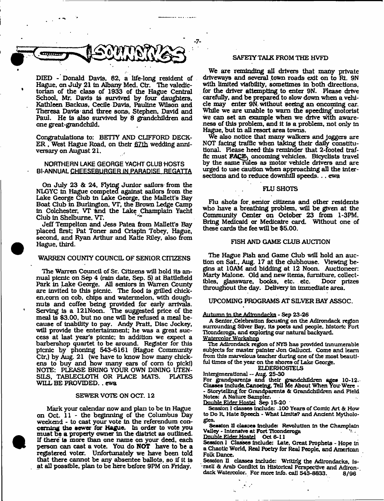

DIED - Donald Davis, 82, a life-long resident of Hague, on July 21 in Albany Med. Ctr. The valedictorian of the class of 1933 of the Hague Central School, Mr. Davis Is survived by four daughters, Kathleen Backus, Ceclle Davia, Pauline Wilson and Theresa Davis and three sons, Stephen, David and Paul. He Is also survived by 8 grandchildren and one great-grandchild.

Congratulations to: BETTY AND CLIFFORD DECK-ER , West Hague Road, on their 67th wedding anniversary on August 21.

# NORTHERN LAKE GEORGE YACHT CLUB HOSTS BI-ANNUAL CHEESEBURGER IN PARADISE REGATTA

On July 23 & 24, Flying Junior sailors from the NLGYC In Hague competed against sailors from die Lake George Club in Lake George, the Mallett's Bay Boat Club In Burlington. VT, the Brown Ledge Camp In Colchester, VT fend the Lake Champlain Yacht Club In Shelburne. VT. '

Jeff Tempelton and Jess Patea from Mallett's Bay placed first; Pat Toner and Crispin Tobey, Hague, second, and Ryan Arthur and Katie Riley, also from Hague, third.

# WARREN COUNTY COUNCIL OF SENIOR OTIZENS

The Warren Council of Sr. Citizens will hold its annual picnic on Sep 4 (rain date, Sep. 5) at Battlefield Park in Lake George. AH seniors In Warren County are invited to this picnic. The food is grilled chicken,com on cob, chips and watermelon, with doughnuts and coffee being provided for early arrivals. Serving Is a 121Noon. The suggested price of the meal is \$3.00, but no one will be refused a meal because of Inability to pay. Andy Pratt, Disc Jockey, will provide the entertainment; he was a great success at last year's picnic; in addition we expect a barbershop quartet to be around. Register for this picnic by phoning 543-6161 [Hague Community Ctr.) by Aug, 21 (we have to know how many chickens to buy and how many ears of corn to pick!) NOTE: PLEASE BRING YOUR OWN DINING UTEN-<br>SILS. TABLECLOTH OR PLACE MATS. PLATES SILS, TABLECLOTH OR PLACE MATS. WILL BE PROVIDED. . ewa

#### SEWER VOTE ON OCT. 12

Mark your calendar now and plan to be in Hague on Oct. 11 - the beginning of the Columbus Day weekend - to cast your vote In the referendum concerning the aewer for Hague. La order to vote you m ust be a property owner In the district as outlined. If there is more than one name on your deed, each person can cast a vote. You do **NOT** have to be a registered voter. Unfortunately we have been told that there cannot be any absentee ballots, so if it is at all possible, plan to be here before 9PM on Friday.

# SAFETY TALK FROM THE HVFD

We are reminding all drivers that many private driveways and several town roads exit on to Rt. 9N with limited visibility, sometimes in both directions, for the driver attempting to enter 9N. Please drive carefully, and be prepared to slow down when a vehicle may enter 9N without seeing an oncoming car. While we are unable to warn the speeding motorist we can set an example when we drive with awareness of this problem, and it Is a problem, not only in Hague, but in all resort area towns.

We also notice that many walkers and joggers are NOT facing traffic when taking their dally constitutional. Please heed this reminder that 2-footed traffic must FACE oncoming vehicles. Bicyclists travel by the same rules as motor vehicle drivers and are urged to use caution when approaching all the intersections and to reduce downhill speeds, . . ewa

#### FLU SHOTS

Flu shots for senior citizens and other residents who have a breathing problem, will be given at the Community Center on October 23 from 1-3PM. Bring Medicaid or Medicaire card. Without one of these cards the fee will be \$5.00.

#### FISH AND GAME CLUB AUCTION

The Hague Fish and Game Club will hold an auction on Sat., Aug. 17 at the clubhouse. Viewing begins at 10AM and bidding at 12 Noon. Auctioneer: Marty Malone. Old and new items, furniture, collectibles, glassware, books, etc. etc. throughout the day. Delivery in immediate area.

### UPCOMING PROGRAMS AT SILVER BAY ASSOC.

#### Autumn in the Adirondacks - Sep 23-26

A Senior Celebration focusing on the Adirondack region surrounding Silver Bay, Its poets and people, historic Fort Ticonderoga, and exploring our natural backyard. Waterrolor Workshop

The Adirondack region of NYS has provided Innumerable subjects for master painter Jon Galluccl. Come and learn from this marvelous teacher during one of the most beautiful times of the year on the shores of Lake George.

# ELDERHOSTELS

Intergen era tional — Aug. 25-30

For grandparents and their grandchildren ages 10-12. Classes Include, Canoeing, Tell Me About When You Were - - Storytelling for Grandparents & Grandchildren and Field Notes: A Nature Sampler.

Double Elder Hostel Sep 15-20

Session I classes Include: 100 Years of Comic Art & How to Do It, Hate Speech - What Limits? and Ancient Mythologies.

Session **il classes include: Revolution in the Champlain**<br>dlev - Intensive at Fort Ticonderoga Valley - Intensive at Fort Ticonderoga .

Double Elder Hostel Oct 6-11

 $\sigma_{\rm{eff}}$ 

Session I Classes include: Late, Great Prophets - Hope in a Chaotic World, Real Poetry for Real People, and American Folk Dance.

Session II classes include: Writing the Adirondacks, Israeli & Arab Conflict In Historical Perspective and Adirondack Watercolor. For more info. call 543-8833. 8/96

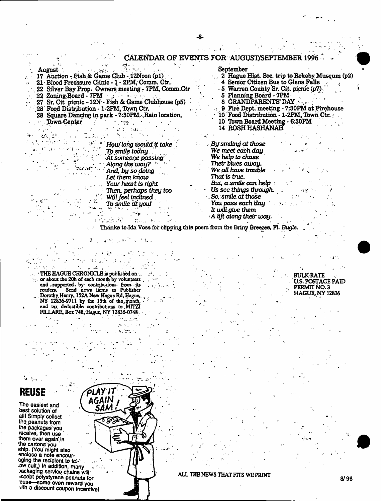#### CALENDAR OF EVENTS FOR AUGUST/SEPTEMBER 1996 i ' . . v 1^- 1 '■ .1 September August  $\begin{bmatrix} 1 & 1 \\ 1 & 1 \end{bmatrix}$  :  $\begin{bmatrix} 1 & 1 \\ 1 & 1 \end{bmatrix}$  :  $\begin{bmatrix} 1 & 1 \\ 1 & 1 \end{bmatrix}$ 2 Hague Hist. Soc. trip to Rokeby Museum (p2) 17 Auction - Fish& GameClub -12Noon (pi) 4 Senior Citizen Bus to Glens Falls 21 - Blood Presssure Clinic -1 - 2PM, Comm. Ctr,  $\sim$   $\sim$ 22 Silver Bay Prop- Owners meeting - 7PM, Comm.Ctr - 5 Warren County Sr. Cit. picnic (p7). 22 Zoning Board - 7FM 6 Planning Board - 7PM , 27 Sr. Git picnic--12N- Pish & Game Clubhouse (p5) 8 GRANDPARENTS' DAY 9 Fire Dept. meeting - 7:30PM at Firehouse \28F ood Distribution - 1-2FM, Tbwn Ctr. 10 Food Distribution - 1-2PM, Town Ctr. 28 Square Dancing in park - 7:30PM. Rain location,<br>... Town Center .Town Center -. . 10 Tbwn Board Meeting - 6:30PM 14 ROSH HASHANAH الوريتين  $\mathcal{A}^{\text{max}}$ *By smiling at those How long would. it take We meet each day* 7b *smile today* , We help to chase *A t someone passing \* Their blues *away. Along theivay? ' '*  $\sim$   $\sim$ *We all have trouble* And, by *so doing That is true. Let them know But, a smile* can *help Your heart is right Us see things through. Then, perhaps they too*  $\rightarrow \mathbb{F}_2$ *So, smlle at those WiU. feel inclined , You. pass each day '*  $\sum_{i=1}^n \sum_{j=1}^n \sum_{j=1}^n$ *To smile* a t you/  $\sim$  4  $\sim$ It *will,give* them ■A *bjl along their way.* **Contract State** 主机动力的  $\mathcal{L}^{(2)}$  .

Ŕ.

Thanks to. Ida Voss for clipping this poem from the Briny Breezes, FI. *Bugle,*

. *\** j: . THE HAGUE CHRONICLE is published on  $\mathbb{R}^3$ . or about the 20h of each month by volunteers  $\ldots$ and supported, by contributions from its readers. Send news items to Publisher Dorothy. Henry, 152A New Hague Rd, Hague, NY- 12836'9711 by the 15th of the..rpooth, and tax deductible contributions to MITZI FILLARE, Box 743, Hague, NY 12836-0748 -

 $\mathbf{I}$   $\mathbf{A}$   $\mathbf{A}$ 

PLAY IT AGAIN SAM

# **REUSE**

The easiest and best solution of alll Simply collect the peanuts from the packages'you receive, then use them over again'in the cartons you ship. (You might also enclose a note encouraging the recipient to folbw suit.) In addition, many packaging service chains will tccept polystyrene peanuts tor euse—some even reward you vith a discount coupon Jncentlvel

ALL THE NEWS THAT FITS WE PRINT **8/96** 

BULK RATE US. POSTAGE PAID PERMIT NO. 3 HAGUE, NY 12836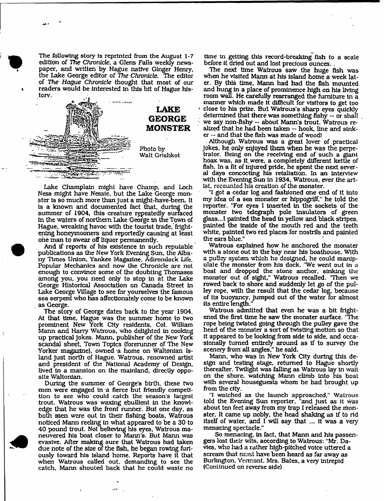The following story is reprinted from the August 1-7 edition of The *Chronicle,* a Glens Falls weekly newspaper, and written by Hague native Ginger Henry, the Lake George editor of *The Chronicle*. The editor of *The Hague Chronicle* thought that most of our readers would be interested in this bit of Hague history.



Lake Champlain might have Champ, and Loch Ness might have Nessie, but the Lake George monster is so much more than just a might-have-been. It Is a known and docum ented fact that, during the summer of 1904, this creature repeatedly surfaced In the waters of northern Lake George in the Town of Hague, wreaking havoc with the tourist trade, frightening honeymooners and reportedly causing at least one man to swear off liquor permanently.

And if reports of his existence in such reputable publications as the New York Evening Sun, the Albany Times Union, Yankee Magazine, Adirondack Life, Popular Mechanics and now the Chronicle are not enough to convince some of the doubting Thomases am ong you, you need only to stop in at the Lake George Historical Association on Canada Street in Lake George Village to see for yourselves the famous sea serpent who has affectionately come to be known . as George.

The story of George dates back to the year 1904, At that time, Hague was the summer home to two prominent New York City residents, Col. William Mann and Harry Watrous, who delighted in cooking up practical jokes. Mann, publisher of the New York scandal sheet, Town Topics (forerunner of The New Yorker magazine), owned a home on Waltonian Island just north of Hague. Watrous, renowned artist and president of the National Academy of Design, lived in a mansion on the mainland, directly opposite Waltonian.

During the summer of George's birth, these two men were engaged in a fierce but friendly competition to see who could catch the season's largest trout. Watrous was waxing ebullient in the knowledge that he was the front runner. But one day, as both men were out in their fishing boats, Watrous noticed Mann reeling in what appeared to be a 30 to 40 pound trout. Not believing his eyes, Watrous maneuvered his boat closer to Mann's. But Mann was evasive. After making sure that Watrous had taken due note of the size of the fish, he began rowing furiously toward his island home. Reports have it that when Watrous called out, demanding to see the catch, Mann shouted back that he could waste no

time in getting this record-breaking fish to a scale before it dried out and lost precious ounces. .

The next time Watrous saw the huge fish was when he visited Mann at his island home a week later. By this time, Mann had had the fish mounted and hung in a place of prominence high on his living room wall. He carefully rearranged the furniture in a manner which made it difficult for visitors to get too close to his prize. But Watrous's sharp eyes quickly determined that there was something fishy — or shall we say non-fishy -- about Mann's trout. Watrous realized that he had been taken -- hook, line and sinker — and that the fish was made of wood!

Although Watrous was a great lover of practical Jokes, he only enjoyed them when he was the perpetrator. Being on the receiving end of such a giant hoax was, as it.were, a completely different kettle of fish. In a fit of injured pride, he spent the next several days concocting his retaliation. In an interview with the Evening Sun in 1934, Watrous, ever the artist, recounted his creation of the monster.

"I got a cedar log and fashioned one end of it into my idea of a sea monster or hippogriff," he told the reporter. "For eyes I Inserted in the sockets of the monster two telegraph pole insulators of green glass...I painted the head in yellow and black stripes, painted the inside of the mouth red and the teeth white, painted two red places for nostrils and painted the ears blue."

Watrous explained how he anchored the monster with a stone out in the bay near his boathouse. With a pulley system which he designed, he could manipulate the monster from his dock. 'We went out in a boat and dropped the stone anchor, sinking the monster out of sight," Watrous recalled. 'Then we rowed back to shore and suddenly let go of the pulley rope, with the result that the cedar log, because of its buoyancy, jumped out of the water for almost its entire length,"

Watrous admitted that even he was a bit frightened the first time he saw the monster surface. 'The rope being twisted going through the pulley gave the head of the monster a sort of twisting motion so that it appeared to be looking from side to side, and occasionally turned entirely around as if to survey the scenery from all angles," he said.

Mann, who was in New York City during this design and testing stage, returned to Hague shortly thereafter. Twilight was falling as Watrous lay in wait on the shore, watching Mann climb into his boat with several houseguests whom he had brought up from the city.

"I watched as the launch approached." Watrous told the Evening Sun reporter, "and just as it was about ten feet away from my trap I released the monster. It came up nobly, the head shaking as tf to rid itself of water, and I will say that ... it was a very menacing spectacle."

So menacing, in fact, that Mann and his passengers lost their wits, according to Watrous: "Mr. Davies, who liad a rather high-pitched voice uttered a scream that must have been heard as far away as Burlington, Vermont. Mrs. Bates, a very intrepid (Continued on reverse side)